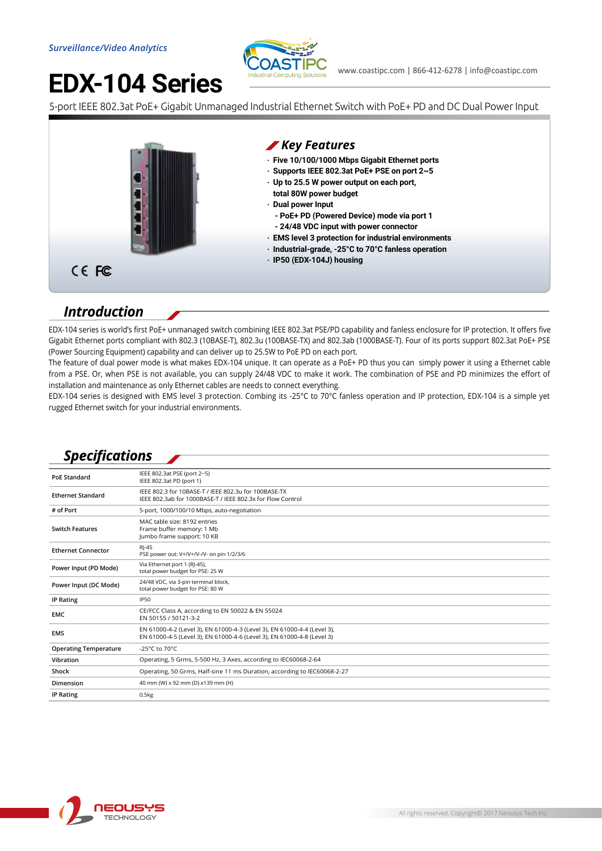



5-port IEEE 802.3at PoE+ Gigabit Unmanaged Industrial Ethernet Switch with PoE+ PD and DC Dual Power Input



#### *Introduction*

EDX-104 series is world's first PoE+ unmanaged switch combining IEEE 802.3at PSE/PD capability and fanless enclosure for IP protection. It offers five Gigabit Ethernet ports compliant with 802.3 (10BASE-T), 802.3u (100BASE-TX) and 802.3ab (1000BASE-T). Four of its ports support 802.3at PoE+ PSE (Power Sourcing Equipment) capability and can deliver up to 25.5W to PoE PD on each port.

The feature of dual power mode is what makes EDX-104 unique. It can operate as a PoE+ PD thus you can simply power it using a Ethernet cable from a PSE. Or, when PSE is not available, you can supply 24/48 VDC to make it work. The combination of PSE and PD minimizes the effort of installation and maintenance as only Ethernet cables are needs to connect everything.

EDX-104 series is designed with EMS level 3 protection. Combing its -25°C to 70°C fanless operation and IP protection, EDX-104 is a simple yet rugged Ethernet switch for your industrial environments.

| <i>Specifications</i>        |                                                                                                                                                   |  |
|------------------------------|---------------------------------------------------------------------------------------------------------------------------------------------------|--|
| <b>PoE Standard</b>          | IEEE 802.3at PSE (port 2~5)<br>IEEE 802.3at PD (port 1)                                                                                           |  |
| <b>Ethernet Standard</b>     | IEEE 802.3 for 10BASE-T / IEEE 802.3u for 100BASE-TX<br>IEEE 802.3ab for 1000BASE-T / IEEE 802.3x for Flow Control                                |  |
| # of Port                    | 5-port, 1000/100/10 Mbps, auto-negotiation                                                                                                        |  |
| <b>Switch Features</b>       | MAC table size: 8192 entries<br>Frame buffer memory: 1 Mb<br>Jumbo frame support: 10 KB                                                           |  |
| <b>Ethernet Connector</b>    | $R$ -45<br>PSE power out: V+/V+/V-/V- on pin 1/2/3/6                                                                                              |  |
| Power Input (PD Mode)        | Via Ethernet port 1 (RJ-45),<br>total power budget for PSE: 25 W                                                                                  |  |
| Power Input (DC Mode)        | 24/48 VDC, via 3-pin terminal block,<br>total power budget for PSE: 80 W                                                                          |  |
| <b>IP Rating</b>             | <b>IP50</b>                                                                                                                                       |  |
| <b>EMC</b>                   | CE/FCC Class A, according to EN 50022 & EN 55024<br>EN 50155 / 50121-3-2                                                                          |  |
| <b>EMS</b>                   | EN 61000-4-2 (Level 3), EN 61000-4-3 (Level 3), EN 61000-4-4 (Level 3),<br>EN 61000-4-5 (Level 3), EN 61000-4-6 (Level 3), EN 61000-4-8 (Level 3) |  |
| <b>Operating Temperature</b> | -25°C to 70°C                                                                                                                                     |  |
| Vibration                    | Operating, 5 Grms, 5-500 Hz, 3 Axes, according to IEC60068-2-64                                                                                   |  |
| Shock                        | Operating, 50 Grms, Half-sine 11 ms Duration, according to IEC60068-2-27                                                                          |  |
| Dimension                    | 40 mm (W) x 92 mm (D) x139 mm (H)                                                                                                                 |  |
| IP Rating                    | 0.5kg                                                                                                                                             |  |